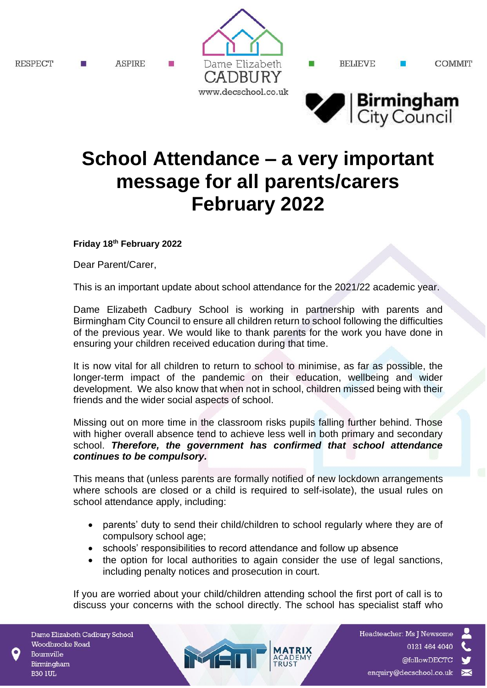RESPECT

**ASPIRE** 



BELIEVE

ш

**COMMIT** 



## **School Attendance – a very important message for all parents/carers February 2022**

## **Friday 18th February 2022**

Dear Parent/Carer,

This is an important update about school attendance for the 2021/22 academic year.

Dame Elizabeth Cadbury School is working in partnership with parents and Birmingham City Council to ensure all children return to school following the difficulties of the previous year. We would like to thank parents for the work you have done in ensuring your children received education during that time.

It is now vital for all children to return to school to minimise, as far as possible, the longer-term impact of the pandemic on their education, wellbeing and wider development. We also know that when not in school, children missed being with their friends and the wider social aspects of school.

Missing out on more time in the classroom risks pupils falling further behind. Those with higher overall absence tend to achieve less well in both primary and secondary school. *Therefore, the government has confirmed that school attendance continues to be compulsory.*

This means that (unless parents are formally notified of new lockdown arrangements where schools are closed or a child is required to self-isolate), the usual rules on school attendance apply, including:

- parents' duty to send their child/children to school regularly where they are of compulsory school age;
- schools' responsibilities to record attendance and follow up absence

MEI

• the option for local authorities to again consider the use of legal sanctions, including penalty notices and prosecution in court.

If you are worried about your child/children attending school the first port of call is to discuss your concerns with the school directly. The school has specialist staff who

Dame Elizabeth Cadbury School Woodbrooke Road Bournville Birmingham **B30 1UL** 

Headteacher: Ms J Newsome 0121 464 4040 @followDECTC enquiry@decschool.co.uk